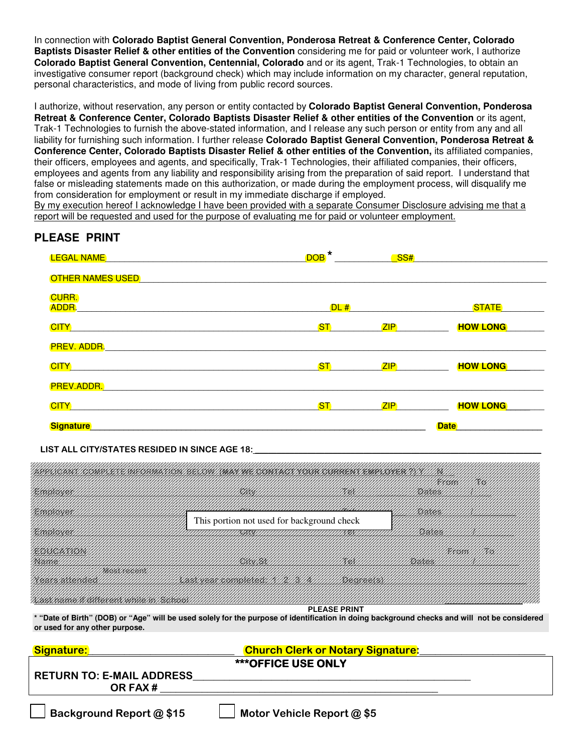In connection with **Colorado Baptist General Convention, Ponderosa Retreat & Conference Center, Colorado Baptists Disaster Relief & other entities of the Convention** considering me for paid or volunteer work, I authorize **Colorado Baptist General Convention, Centennial, Colorado** and or its agent, Trak-1 Technologies, to obtain an investigative consumer report (background check) which may include information on my character, general reputation, personal characteristics, and mode of living from public record sources.

I authorize, without reservation, any person or entity contacted by **Colorado Baptist General Convention, Ponderosa Retreat & Conference Center, Colorado Baptists Disaster Relief & other entities of the Convention** or its agent, Trak-1 Technologies to furnish the above-stated information, and I release any such person or entity from any and all liability for furnishing such information. I further release **Colorado Baptist General Convention, Ponderosa Retreat & Conference Center, Colorado Baptists Disaster Relief & other entities of the Convention,** its affiliated companies, their officers, employees and agents, and specifically, Trak-1 Technologies, their affiliated companies, their officers, employees and agents from any liability and responsibility arising from the preparation of said report. I understand that false or misleading statements made on this authorization, or made during the employment process, will disqualify me from consideration for employment or result in my immediate discharge if employed.

By my execution hereof I acknowledge I have been provided with a separate Consumer Disclosure advising me that a report will be requested and used for the purpose of evaluating me for paid or volunteer employment.

# **PLEASE PRINT**

| <b>LEGAL NAME EXECUTER</b>   | $DOB^*$                                                                                                                                                                                                                             | SS#                   |                 |
|------------------------------|-------------------------------------------------------------------------------------------------------------------------------------------------------------------------------------------------------------------------------------|-----------------------|-----------------|
| <b>OTHER NAMES USED</b>      |                                                                                                                                                                                                                                     |                       |                 |
| <b>CURR.</b><br><b>ADDR.</b> | DL#                                                                                                                                                                                                                                 |                       | <b>STATE</b>    |
| <b>CITY Example 20</b>       | <b>ST</b>                                                                                                                                                                                                                           | <b>ZIP Example 2</b>  | <b>HOW LONG</b> |
| PREV. ADDR.                  |                                                                                                                                                                                                                                     |                       |                 |
| <b>CITY Example 20</b>       | <b>ST</b> and the state of the state of the state of the state of the state of the state of the state of the state of the state of the state of the state of the state of the state of the state of the state of the state of the s | <b>TIP Example 19</b> | <b>HOW LONG</b> |
| <b>PREV.ADDR.</b>            |                                                                                                                                                                                                                                     |                       |                 |
| <b>CITY CITY</b>             | <b>ST ST</b>                                                                                                                                                                                                                        | <b>ZIP Example 2</b>  | <b>HOW LONG</b> |
| <b>Signature</b>             |                                                                                                                                                                                                                                     |                       | <b>Date</b>     |

## LIST ALL CITY/STATES RESIDED IN SINCE AGE 18:

|                                                  | ACONSTITUCIÓN DE INFORMACIÓN PALON MARI MELLONTACA TONA CURRENT EMPLOYER. |                     |  |
|--------------------------------------------------|---------------------------------------------------------------------------|---------------------|--|
| <b>SUDI</b>                                      |                                                                           |                     |  |
|                                                  | This portion not used for background check                                | ANNI ISSESSANNININI |  |
| xaxwe                                            |                                                                           |                     |  |
|                                                  |                                                                           |                     |  |
|                                                  |                                                                           |                     |  |
| かいそうこう アイヤ とうやく<br><td></td> <td></td> <td></td> |                                                                           |                     |  |
|                                                  |                                                                           |                     |  |

PLEASE PRINT

**\* "Date of Birth" (DOB) or "Age" will be used solely for the purpose of identification in doing background checks and will not be considered or used for any other purpose.** 

| Signature:                       | <b>Church Clerk or Notary Signature:</b> |  |
|----------------------------------|------------------------------------------|--|
|                                  | <b>***OFFICE USE ONLY</b>                |  |
| <b>RETURN TO: E-MAIL ADDRESS</b> |                                          |  |
| OR FAX#                          |                                          |  |
| Background Report @ \$15         | Motor Vehicle Report @ \$5               |  |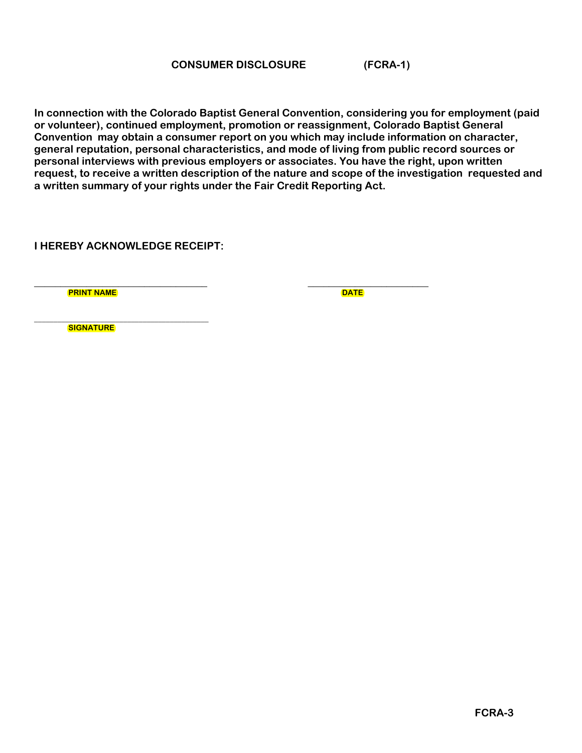In connection with the Colorado Baptist General Convention, considering you for employment (paid or volunteer), continued employment, promotion or reassignment, Colorado Baptist General Convention may obtain a consumer report on you which may include information on character, general reputation, personal characteristics, and mode of living from public record sources or personal interviews with previous employers or associates. You have the right, upon written request, to receive a written description of the nature and scope of the investigation requested and a written summary of your rights under the Fair Credit Reporting Act.

I HEREBY ACKNOWLEDGE RECEIPT:

\_\_\_\_\_\_\_\_\_\_\_\_\_\_\_\_\_\_\_\_\_\_\_\_\_\_\_\_\_\_\_\_\_ \_\_\_\_\_\_\_\_\_\_\_\_\_\_\_\_\_\_\_\_\_\_\_ PRINT NAME DATE

\_\_\_\_\_\_\_\_\_\_\_\_\_\_\_\_\_\_\_\_\_\_\_\_\_\_\_\_\_\_\_\_\_\_\_\_\_\_\_\_\_\_\_\_\_ **SIGNATURE**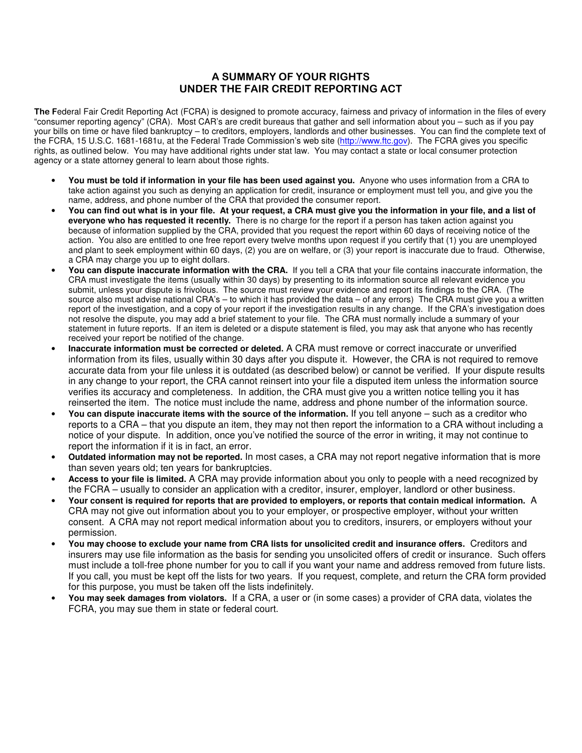## A SUMMARY OF YOUR RIGHTS UNDER THE FAIR CREDIT REPORTING ACT

The Federal Fair Credit Reporting Act (FCRA) is designed to promote accuracy, fairness and privacy of information in the files of every "consumer reporting agency" (CRA). Most CAR's are credit bureaus that gather and sell information about you – such as if you pay your bills on time or have filed bankruptcy – to creditors, employers, landlords and other businesses. You can find the complete text of the FCRA, 15 U.S.C. 1681-1681u, at the Federal Trade Commission's web site (http://www.ftc.gov). The FCRA gives you specific rights, as outlined below. You may have additional rights under stat law. You may contact a state or local consumer protection agency or a state attorney general to learn about those rights.

- **You must be told if information in your file has been used against you.** Anyone who uses information from a CRA to take action against you such as denying an application for credit, insurance or employment must tell you, and give you the name, address, and phone number of the CRA that provided the consumer report.
- **You can find out what is in your file. At your request, a CRA must give you the information in your file, and a list of everyone who has requested it recently.** There is no charge for the report if a person has taken action against you because of information supplied by the CRA, provided that you request the report within 60 days of receiving notice of the action. You also are entitled to one free report every twelve months upon request if you certify that (1) you are unemployed and plant to seek employment within 60 days, (2) you are on welfare, or (3) your report is inaccurate due to fraud. Otherwise, a CRA may charge you up to eight dollars.
- **You can dispute inaccurate information with the CRA.** If you tell a CRA that your file contains inaccurate information, the CRA must investigate the items (usually within 30 days) by presenting to its information source all relevant evidence you submit, unless your dispute is frivolous. The source must review your evidence and report its findings to the CRA. (The source also must advise national CRA's – to which it has provided the data – of any errors) The CRA must give you a written report of the investigation, and a copy of your report if the investigation results in any change. If the CRA's investigation does not resolve the dispute, you may add a brief statement to your file. The CRA must normally include a summary of your statement in future reports. If an item is deleted or a dispute statement is filed, you may ask that anyone who has recently received your report be notified of the change.
- **Inaccurate information must be corrected or deleted.** A CRA must remove or correct inaccurate or unverified information from its files, usually within 30 days after you dispute it. However, the CRA is not required to remove accurate data from your file unless it is outdated (as described below) or cannot be verified. If your dispute results in any change to your report, the CRA cannot reinsert into your file a disputed item unless the information source verifies its accuracy and completeness. In addition, the CRA must give you a written notice telling you it has reinserted the item. The notice must include the name, address and phone number of the information source.
- **You can dispute inaccurate items with the source of the information.** If you tell anyone such as a creditor who reports to a CRA – that you dispute an item, they may not then report the information to a CRA without including a notice of your dispute. In addition, once you've notified the source of the error in writing, it may not continue to report the information if it is in fact, an error.
- **Outdated information may not be reported.** In most cases, a CRA may not report negative information that is more than seven years old; ten years for bankruptcies.
- **Access to your file is limited.** A CRA may provide information about you only to people with a need recognized by the FCRA – usually to consider an application with a creditor, insurer, employer, landlord or other business.
- **Your consent is required for reports that are provided to employers, or reports that contain medical information.** A CRA may not give out information about you to your employer, or prospective employer, without your written consent. A CRA may not report medical information about you to creditors, insurers, or employers without your permission.
- **You may choose to exclude your name from CRA lists for unsolicited credit and insurance offers.** Creditors and insurers may use file information as the basis for sending you unsolicited offers of credit or insurance. Such offers must include a toll-free phone number for you to call if you want your name and address removed from future lists. If you call, you must be kept off the lists for two years. If you request, complete, and return the CRA form provided for this purpose, you must be taken off the lists indefinitely.
- **You may seek damages from violators.** If a CRA, a user or (in some cases) a provider of CRA data, violates the FCRA, you may sue them in state or federal court.